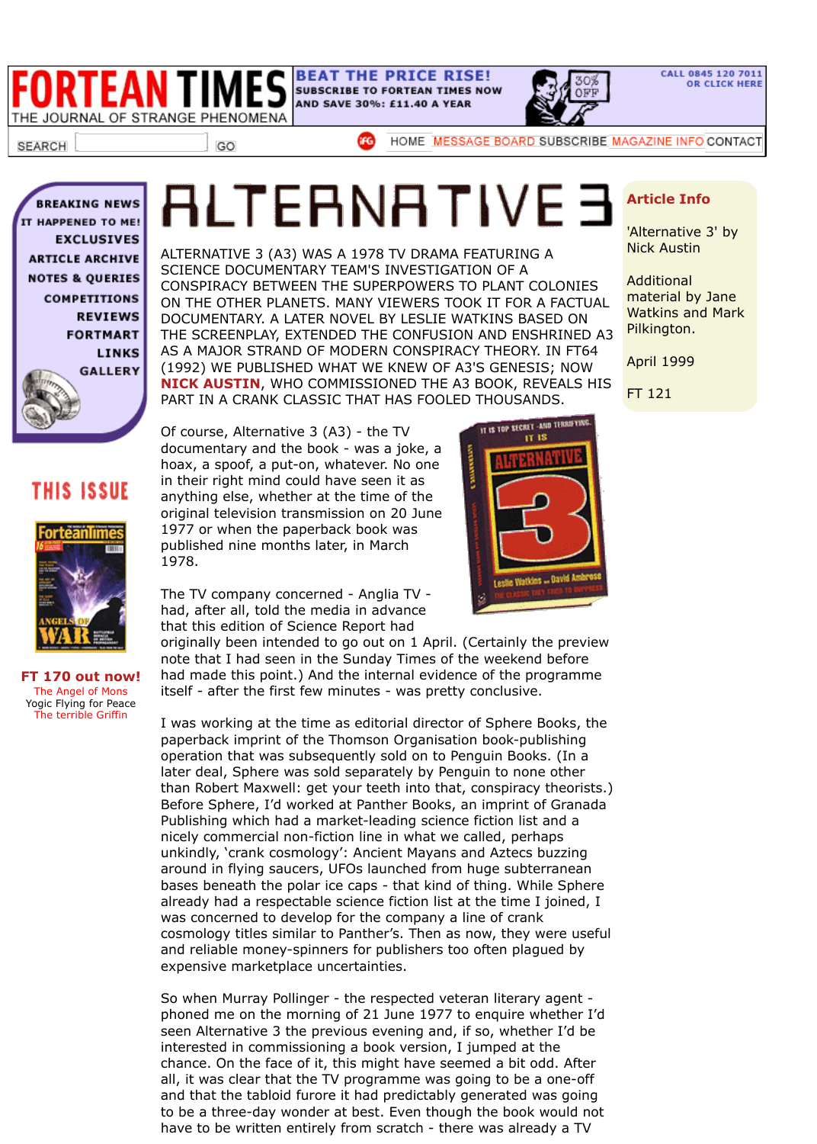

AS A MAJOR STRAND OF MODERN CONSPIRACY THEORY. IN FT64 (1992) WE PUBLISHED WHAT WE KNEW OF A3'S GENESIS; NOW **NICK AUSTIN**, WHO COMMISSIONED THE A3 BOOK, REVEALS HIS PART IN A CRANK CLASSIC THAT HAS FOOLED THOUSANDS.

## **THIS ISSUE**



**[FT 170 out now!](https://web.archive.org/web/20030414143044/http://www.forteantimes.com/fortmart/fortmart.shtml)** The Angel of Mons [Yogic Flying for Peace](https://web.archive.org/web/20030414143044/http://www.forteantimes.com/links/link_index.shtml) [The terrible Griffin](https://web.archive.org/web/20030414143044/http://www.forteantimes.com/gallery/gallery_index.shtml)

[Of course, Alternativ](https://web.archive.org/web/20030414143044/http://www.forteantimes.com/index.html)e 3 (A3) - the TV documentary and t[he book - was a joke, a](https://web.archive.org/web/20030414143044/https://www.ifgsubscriptions.co.uk/fortean/fort_intro.html) hoax, a spoof, a put-on, whatever. No o[ne](https://web.archive.org/web/20030414143044/http://www.forteantimes.com/forum/index.php) in their right mind could ha[ve see](https://web.archive.org/web/20030414143044/http://www.ifgmags.com/)[n it as](https://web.archive.org/web/20030414143044/http://www.forteantimes.com/index.html) anything else, whether at the time of the original television transmission on 20 June 1977 or when the paperback book was published nine months later, in March 1978.

The TV company concerned - Anglia TV had, after all, told the media in advance that this edition of Science Report had



originally been intended to go out on 1 April. (Certainly the preview note that I had seen in the Sunday Times of the weekend before had made this point.) And the internal evidence of the programme itself - after the first few minutes - was pretty conclusive.

I was working at the time as editorial director of Sphere Books, the paperback imprint of the Thomson Organisation book-publishing operation that was subsequently sold on to Penguin Books. (In a later deal, Sphere was sold separately by Penguin to none other than Robert Maxwell: get your teeth into that, conspiracy theorists.) Before Sphere, I'd worked at Panther Books, an imprint of Granada Publishing which had a market-leading science fiction list and a nicely commercial non-fiction line in what we called, perhaps unkindly, 'crank cosmology': Ancient Mayans and Aztecs buzzing around in flying saucers, UFOs launched from huge subterranean bases beneath the polar ice caps - that kind of thing. While Sphere already had a respectable science fiction list at the time I joined, I was concerned to develop for the company a line of crank cosmology titles similar to Panther's. Then as now, they were useful and reliable money-spinners for publishers too often plagued by expensive marketplace uncertainties.

So when Murray Pollinger - the respected veteran literary agent phoned me on the morning of 21 June 1977 to enquire whether I'd seen Alternative 3 the previous evening and, if so, whether I'd be interested in commissioning a book version, I jumped at the chance. On the face of it, this might have seemed a bit odd. After all, it was clear that the TV programme was going to be a one-off and that the tabloid furore it had predictably generated was going to be a three-day wonder at best. Even though the book would not have to be written entirely from scratch - there was already a TV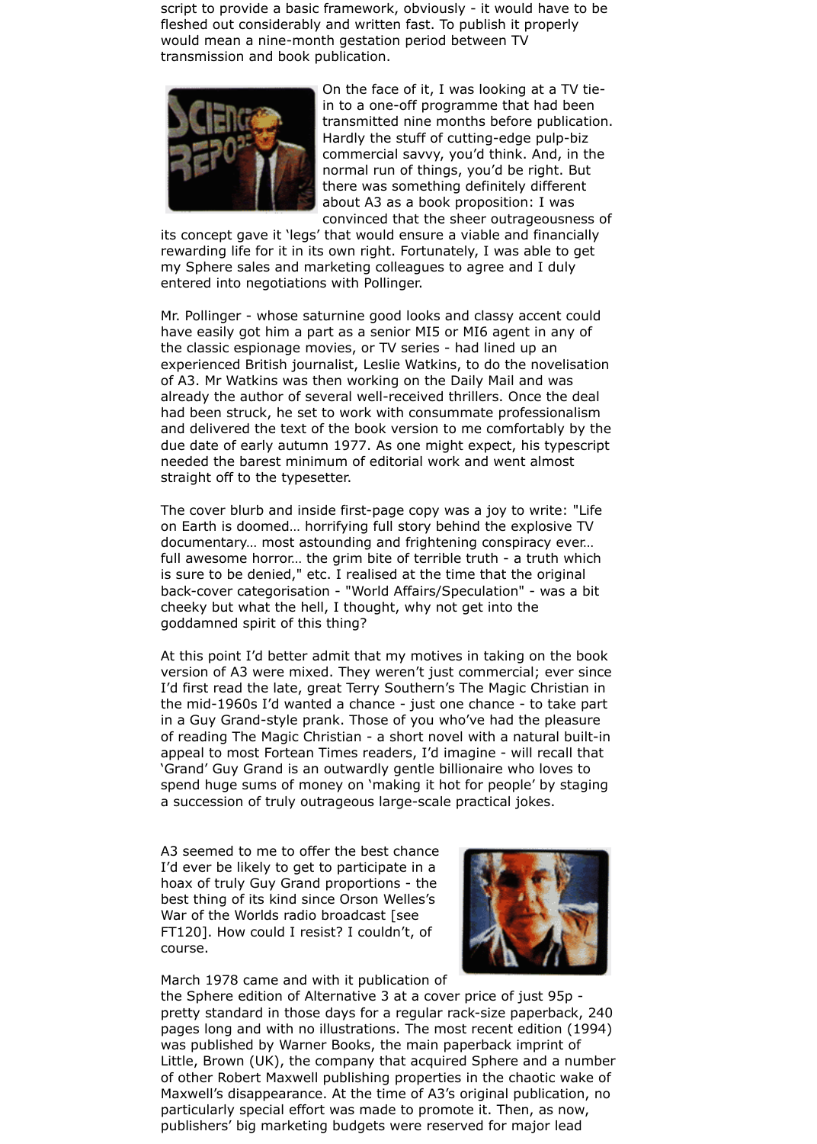script to provide a basic framework, obviously - it would have to be fleshed out considerably and written fast. To publish it properly would mean a nine-month gestation period between TV transmission and book publication.



On the face of it, I was looking at a TV tiein to a one-off programme that had been transmitted nine months before publication. Hardly the stuff of cutting-edge pulp-biz commercial savvy, you'd think. And, in the normal run of things, you'd be right. But there was something definitely different about A3 as a book proposition: I was convinced that the sheer outrageousness of

its concept gave it 'legs' that would ensure a viable and financially rewarding life for it in its own right. Fortunately, I was able to get my Sphere sales and marketing colleagues to agree and I duly entered into negotiations with Pollinger.

Mr. Pollinger - whose saturnine good looks and classy accent could have easily got him a part as a senior MI5 or MI6 agent in any of the classic espionage movies, or TV series - had lined up an experienced British journalist, Leslie Watkins, to do the novelisation of A3. Mr Watkins was then working on the Daily Mail and was already the author of several well-received thrillers. Once the deal had been struck, he set to work with consummate professionalism and delivered the text of the book version to me comfortably by the due date of early autumn 1977. As one might expect, his typescript needed the barest minimum of editorial work and went almost straight off to the typesetter.

The cover blurb and inside first-page copy was a joy to write: "Life on Earth is doomed… horrifying full story behind the explosive TV documentary… most astounding and frightening conspiracy ever… full awesome horror... the grim bite of terrible truth - a truth which is sure to be denied," etc. I realised at the time that the original back-cover categorisation - "World Affairs/Speculation" - was a bit cheeky but what the hell, I thought, why not get into the goddamned spirit of this thing?

At this point I'd better admit that my motives in taking on the book version of A3 were mixed. They weren't just commercial; ever since I'd first read the late, great Terry Southern's The Magic Christian in the mid-1960s I'd wanted a chance - just one chance - to take part in a Guy Grand-style prank. Those of you who've had the pleasure of reading The Magic Christian - a short novel with a natural built-in appeal to most Fortean Times readers, I'd imagine - will recall that 'Grand' Guy Grand is an outwardly gentle billionaire who loves to spend huge sums of money on 'making it hot for people' by staging a succession of truly outrageous large-scale practical jokes.

A3 seemed to me to offer the best chance I'd ever be likely to get to participate in a hoax of truly Guy Grand proportions - the best thing of its kind since Orson Welles's War of the Worlds radio broadcast [see FT120]. How could I resist? I couldn't, of course.



March 1978 came and with it publication of

the Sphere edition of Alternative 3 at a cover price of just 95p pretty standard in those days for a regular rack-size paperback, 240 pages long and with no illustrations. The most recent edition (1994) was published by Warner Books, the main paperback imprint of Little, Brown (UK), the company that acquired Sphere and a number of other Robert Maxwell publishing properties in the chaotic wake of Maxwell's disappearance. At the time of A3's original publication, no particularly special effort was made to promote it. Then, as now, publishers' big marketing budgets were reserved for major lead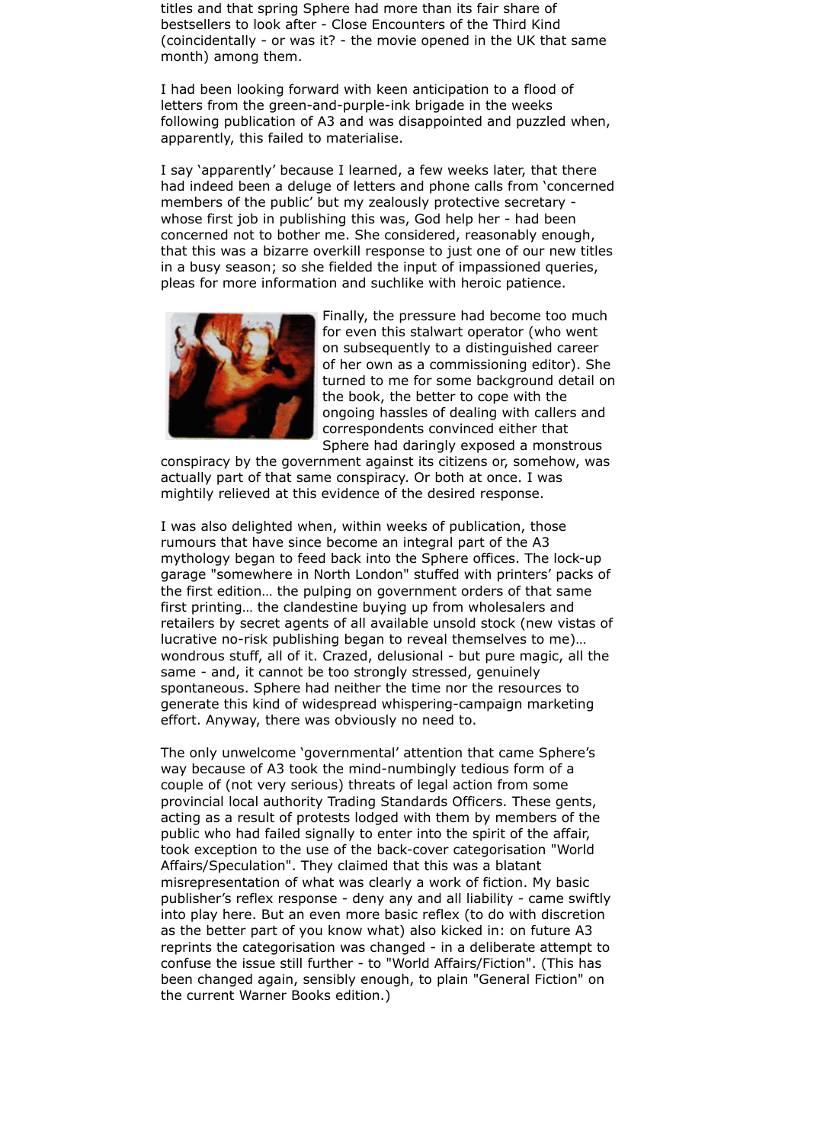titles and that spring Sphere had more than its fair share of bestsellers to look after - Close Encounters of the Third Kind (coincidentally - or was it? - the movie opened in the UK that same month) among them.

I had been looking forward with keen anticipation to a flood of letters from the green-and-purple-ink brigade in the weeks following publication of A3 and was disappointed and puzzled when, apparently, this failed to materialise.

I say 'apparently' because I learned, a few weeks later, that there had indeed been a deluge of letters and phone calls from 'concerned members of the public' but my zealously protective secretary whose first job in publishing this was, God help her - had been concerned not to bother me. She considered, reasonably enough, that this was a bizarre overkill response to just one of our new titles in a busy season; so she fielded the input of impassioned queries, pleas for more information and suchlike with heroic patience.



Finally, the pressure had become too much for even this stalwart operator (who went on subsequently to a distinguished career of her own as a commissioning editor). She turned to me for some background detail on the book, the better to cope with the ongoing hassles of dealing with callers and correspondents convinced either that Sphere had daringly exposed a monstrous

conspiracy by the government against its citizens or, somehow, was actually part of that same conspiracy. Or both at once. I was mightily relieved at this evidence of the desired response.

I was also delighted when, within weeks of publication, those rumours that have since become an integral part of the A3 mythology began to feed back into the Sphere offices. The lock-up garage "somewhere in North London" stuffed with printers' packs of the first edition… the pulping on government orders of that same first printing… the clandestine buying up from wholesalers and retailers by secret agents of all available unsold stock (new vistas of lucrative no-risk publishing began to reveal themselves to me)… wondrous stuff, all of it. Crazed, delusional - but pure magic, all the same - and, it cannot be too strongly stressed, genuinely spontaneous. Sphere had neither the time nor the resources to generate this kind of widespread whispering-campaign marketing effort. Anyway, there was obviously no need to.

The only unwelcome 'governmental' attention that came Sphere's way because of A3 took the mind-numbingly tedious form of a couple of (not very serious) threats of legal action from some provincial local authority Trading Standards Officers. These gents, acting as a result of protests lodged with them by members of the public who had failed signally to enter into the spirit of the affair, took exception to the use of the back-cover categorisation "World Affairs/Speculation". They claimed that this was a blatant misrepresentation of what was clearly a work of fiction. My basic publisher's reflex response - deny any and all liability - came swiftly into play here. But an even more basic reflex (to do with discretion as the better part of you know what) also kicked in: on future A3 reprints the categorisation was changed - in a deliberate attempt to confuse the issue still further - to "World Affairs/Fiction". (This has been changed again, sensibly enough, to plain "General Fiction" on the current Warner Books edition.)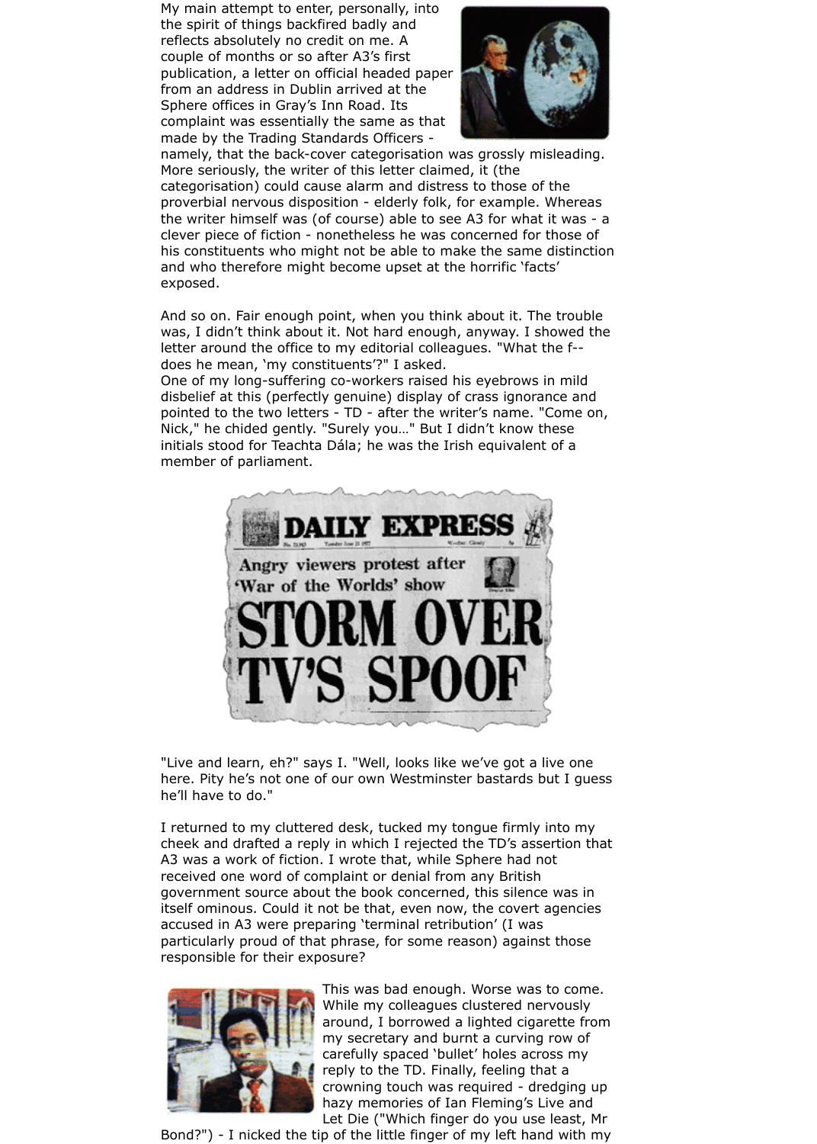My main attempt to enter, personally, into the spirit of things backfired badly and reflects absolutely no credit on me. A couple of months or so after A3's first publication, a letter on official headed paper from an address in Dublin arrived at the Sphere offices in Gray's Inn Road. Its complaint was essentially the same as that made by the Trading Standards Officers -



namely, that the back-cover categorisation was grossly misleading. More seriously, the writer of this letter claimed, it (the categorisation) could cause alarm and distress to those of the proverbial nervous disposition - elderly folk, for example. Whereas the writer himself was (of course) able to see A3 for what it was - a clever piece of fiction - nonetheless he was concerned for those of his constituents who might not be able to make the same distinction and who therefore might become upset at the horrific 'facts' exposed.

And so on. Fair enough point, when you think about it. The trouble was, I didn't think about it. Not hard enough, anyway. I showed the letter around the office to my editorial colleagues. "What the f- does he mean, 'my constituents'?" I asked.

One of my long-suffering co-workers raised his eyebrows in mild disbelief at this (perfectly genuine) display of crass ignorance and pointed to the two letters - TD - after the writer's name. "Come on, Nick," he chided gently. "Surely you…" But I didn't know these initials stood for Teachta Dála; he was the Irish equivalent of a member of parliament.



"Live and learn, eh?" says I. "Well, looks like we've got a live one here. Pity he's not one of our own Westminster bastards but I guess he'll have to do."

I returned to my cluttered desk, tucked my tongue firmly into my cheek and drafted a reply in which I rejected the TD's assertion that A3 was a work of fiction. I wrote that, while Sphere had not received one word of complaint or denial from any British government source about the book concerned, this silence was in itself ominous. Could it not be that, even now, the covert agencies accused in A3 were preparing 'terminal retribution' (I was particularly proud of that phrase, for some reason) against those responsible for their exposure?



This was bad enough. Worse was to come. While my colleagues clustered nervously around, I borrowed a lighted cigarette from my secretary and burnt a curving row of carefully spaced 'bullet' holes across my reply to the TD. Finally, feeling that a crowning touch was required - dredging up hazy memories of Ian Fleming's Live and Let Die ("Which finger do you use least, Mr

Bond?") - I nicked the tip of the little finger of my left hand with my